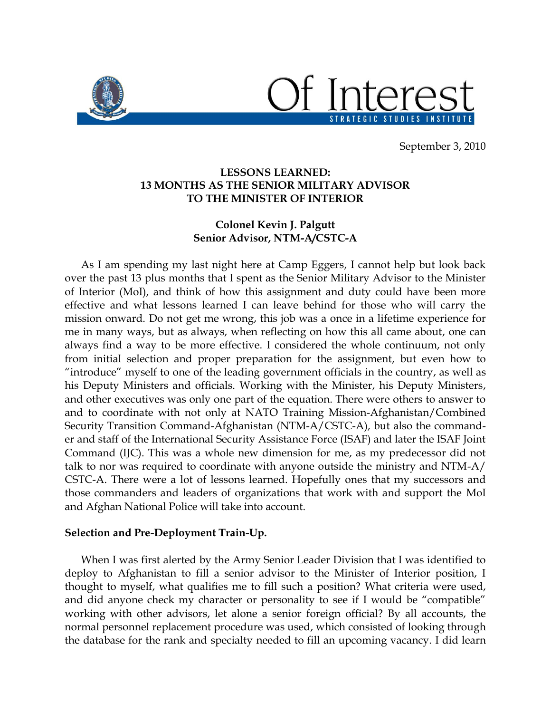

September 3, 2010

# **LESSONS LEARNED: 13 MONTHS AS THE SENIOR MILITARY ADVISOR TO THE MINISTER OF INTERIOR**

## **Colonel Kevin J. Palgutt Senior Advisor, NTM-A/CSTC-A**

As I am spending my last night here at Camp Eggers, I cannot help but look back over the past 13 plus months that I spent as the Senior Military Advisor to the Minister of Interior (MoI), and think of how this assignment and duty could have been more effective and what lessons learned I can leave behind for those who will carry the mission onward. Do not get me wrong, this job was a once in a lifetime experience for me in many ways, but as always, when reflecting on how this all came about, one can always find a way to be more effective. I considered the whole continuum, not only from initial selection and proper preparation for the assignment, but even how to "introduce" myself to one of the leading government officials in the country, as well as his Deputy Ministers and officials. Working with the Minister, his Deputy Ministers, and other executives was only one part of the equation. There were others to answer to and to coordinate with not only at NATO Training Mission-Afghanistan/Combined Security Transition Command-Afghanistan (NTM-A/CSTC-A), but also the commander and staff of the International Security Assistance Force (ISAF) and later the ISAF Joint Command (IJC). This was a whole new dimension for me, as my predecessor did not talk to nor was required to coordinate with anyone outside the ministry and NTM-A/ CSTC-A. There were a lot of lessons learned. Hopefully ones that my successors and those commanders and leaders of organizations that work with and support the MoI and Afghan National Police will take into account.

### **Selection and Pre-Deployment Train-Up.**

When I was first alerted by the Army Senior Leader Division that I was identified to deploy to Afghanistan to fill a senior advisor to the Minister of Interior position, I thought to myself, what qualifies me to fill such a position? What criteria were used, and did anyone check my character or personality to see if I would be "compatible" working with other advisors, let alone a senior foreign official? By all accounts, the normal personnel replacement procedure was used, which consisted of looking through the database for the rank and specialty needed to fill an upcoming vacancy. I did learn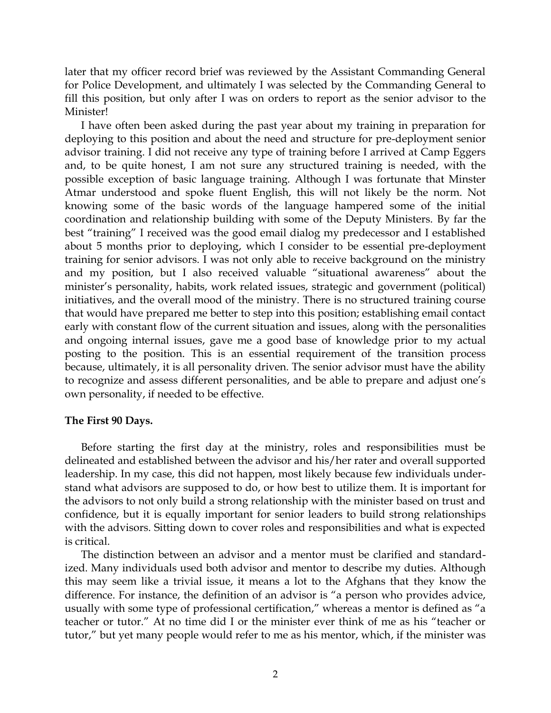later that my officer record brief was reviewed by the Assistant Commanding General for Police Development, and ultimately I was selected by the Commanding General to fill this position, but only after I was on orders to report as the senior advisor to the Minister!

I have often been asked during the past year about my training in preparation for deploying to this position and about the need and structure for pre-deployment senior advisor training. I did not receive any type of training before I arrived at Camp Eggers and, to be quite honest, I am not sure any structured training is needed, with the possible exception of basic language training. Although I was fortunate that Minster Atmar understood and spoke fluent English, this will not likely be the norm. Not knowing some of the basic words of the language hampered some of the initial coordination and relationship building with some of the Deputy Ministers. By far the best "training" I received was the good email dialog my predecessor and I established about 5 months prior to deploying, which I consider to be essential pre-deployment training for senior advisors. I was not only able to receive background on the ministry and my position, but I also received valuable "situational awareness" about the minister's personality, habits, work related issues, strategic and government (political) initiatives, and the overall mood of the ministry. There is no structured training course that would have prepared me better to step into this position; establishing email contact early with constant flow of the current situation and issues, along with the personalities and ongoing internal issues, gave me a good base of knowledge prior to my actual posting to the position. This is an essential requirement of the transition process because, ultimately, it is all personality driven. The senior advisor must have the ability to recognize and assess different personalities, and be able to prepare and adjust one's own personality, if needed to be effective.

#### **The First 90 Days.**

Before starting the first day at the ministry, roles and responsibilities must be delineated and established between the advisor and his/her rater and overall supported leadership. In my case, this did not happen, most likely because few individuals understand what advisors are supposed to do, or how best to utilize them. It is important for the advisors to not only build a strong relationship with the minister based on trust and confidence, but it is equally important for senior leaders to build strong relationships with the advisors. Sitting down to cover roles and responsibilities and what is expected is critical.

The distinction between an advisor and a mentor must be clarified and standardized. Many individuals used both advisor and mentor to describe my duties. Although this may seem like a trivial issue, it means a lot to the Afghans that they know the difference. For instance, the definition of an advisor is "a person who provides advice, usually with some type of professional certification," whereas a mentor is defined as "a teacher or tutor." At no time did I or the minister ever think of me as his "teacher or tutor," but yet many people would refer to me as his mentor, which, if the minister was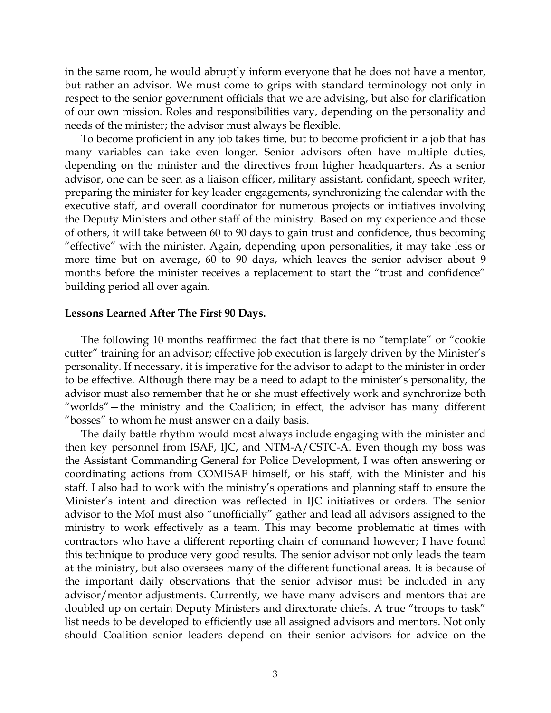in the same room, he would abruptly inform everyone that he does not have a mentor, but rather an advisor. We must come to grips with standard terminology not only in respect to the senior government officials that we are advising, but also for clarification of our own mission. Roles and responsibilities vary, depending on the personality and needs of the minister; the advisor must always be flexible.

To become proficient in any job takes time, but to become proficient in a job that has many variables can take even longer. Senior advisors often have multiple duties, depending on the minister and the directives from higher headquarters. As a senior advisor, one can be seen as a liaison officer, military assistant, confidant, speech writer, preparing the minister for key leader engagements, synchronizing the calendar with the executive staff, and overall coordinator for numerous projects or initiatives involving the Deputy Ministers and other staff of the ministry. Based on my experience and those of others, it will take between 60 to 90 days to gain trust and confidence, thus becoming "effective" with the minister. Again, depending upon personalities, it may take less or more time but on average, 60 to 90 days, which leaves the senior advisor about 9 months before the minister receives a replacement to start the "trust and confidence" building period all over again.

#### **Lessons Learned After The First 90 Days.**

The following 10 months reaffirmed the fact that there is no "template" or "cookie cutter" training for an advisor; effective job execution is largely driven by the Minister's personality. If necessary, it is imperative for the advisor to adapt to the minister in order to be effective. Although there may be a need to adapt to the minister's personality, the advisor must also remember that he or she must effectively work and synchronize both "worlds"—the ministry and the Coalition; in effect, the advisor has many different "bosses" to whom he must answer on a daily basis.

The daily battle rhythm would most always include engaging with the minister and then key personnel from ISAF, IJC, and NTM-A/CSTC-A. Even though my boss was the Assistant Commanding General for Police Development, I was often answering or coordinating actions from COMISAF himself, or his staff, with the Minister and his staff. I also had to work with the ministry's operations and planning staff to ensure the Minister's intent and direction was reflected in IJC initiatives or orders. The senior advisor to the MoI must also "unofficially" gather and lead all advisors assigned to the ministry to work effectively as a team. This may become problematic at times with contractors who have a different reporting chain of command however; I have found this technique to produce very good results. The senior advisor not only leads the team at the ministry, but also oversees many of the different functional areas. It is because of the important daily observations that the senior advisor must be included in any advisor/mentor adjustments. Currently, we have many advisors and mentors that are doubled up on certain Deputy Ministers and directorate chiefs. A true "troops to task" list needs to be developed to efficiently use all assigned advisors and mentors. Not only should Coalition senior leaders depend on their senior advisors for advice on the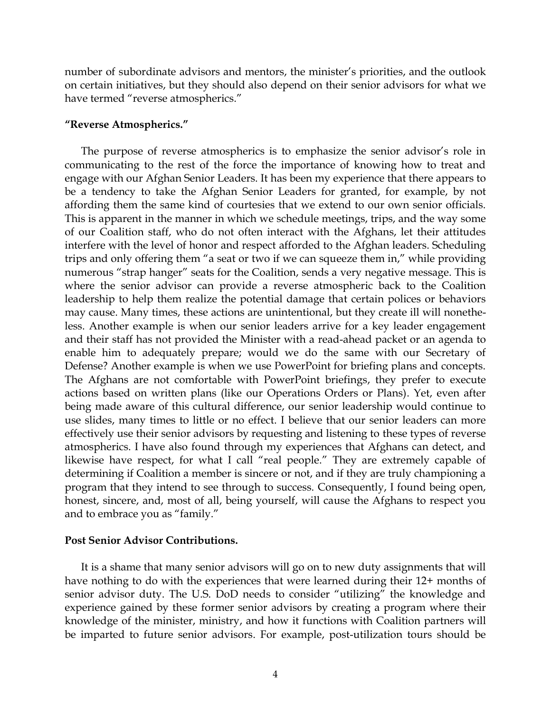number of subordinate advisors and mentors, the minister's priorities, and the outlook on certain initiatives, but they should also depend on their senior advisors for what we have termed "reverse atmospherics."

### **"Reverse Atmospherics."**

The purpose of reverse atmospherics is to emphasize the senior advisor's role in communicating to the rest of the force the importance of knowing how to treat and engage with our Afghan Senior Leaders. It has been my experience that there appears to be a tendency to take the Afghan Senior Leaders for granted, for example, by not affording them the same kind of courtesies that we extend to our own senior officials. This is apparent in the manner in which we schedule meetings, trips, and the way some of our Coalition staff, who do not often interact with the Afghans, let their attitudes interfere with the level of honor and respect afforded to the Afghan leaders. Scheduling trips and only offering them "a seat or two if we can squeeze them in," while providing numerous "strap hanger" seats for the Coalition, sends a very negative message. This is where the senior advisor can provide a reverse atmospheric back to the Coalition leadership to help them realize the potential damage that certain polices or behaviors may cause. Many times, these actions are unintentional, but they create ill will nonetheless. Another example is when our senior leaders arrive for a key leader engagement and their staff has not provided the Minister with a read-ahead packet or an agenda to enable him to adequately prepare; would we do the same with our Secretary of Defense? Another example is when we use PowerPoint for briefing plans and concepts. The Afghans are not comfortable with PowerPoint briefings, they prefer to execute actions based on written plans (like our Operations Orders or Plans). Yet, even after being made aware of this cultural difference, our senior leadership would continue to use slides, many times to little or no effect. I believe that our senior leaders can more effectively use their senior advisors by requesting and listening to these types of reverse atmospherics. I have also found through my experiences that Afghans can detect, and likewise have respect, for what I call "real people." They are extremely capable of determining if Coalition a member is sincere or not, and if they are truly championing a program that they intend to see through to success. Consequently, I found being open, honest, sincere, and, most of all, being yourself, will cause the Afghans to respect you and to embrace you as "family."

#### **Post Senior Advisor Contributions.**

It is a shame that many senior advisors will go on to new duty assignments that will have nothing to do with the experiences that were learned during their 12+ months of senior advisor duty. The U.S. DoD needs to consider "utilizing" the knowledge and experience gained by these former senior advisors by creating a program where their knowledge of the minister, ministry, and how it functions with Coalition partners will be imparted to future senior advisors. For example, post-utilization tours should be